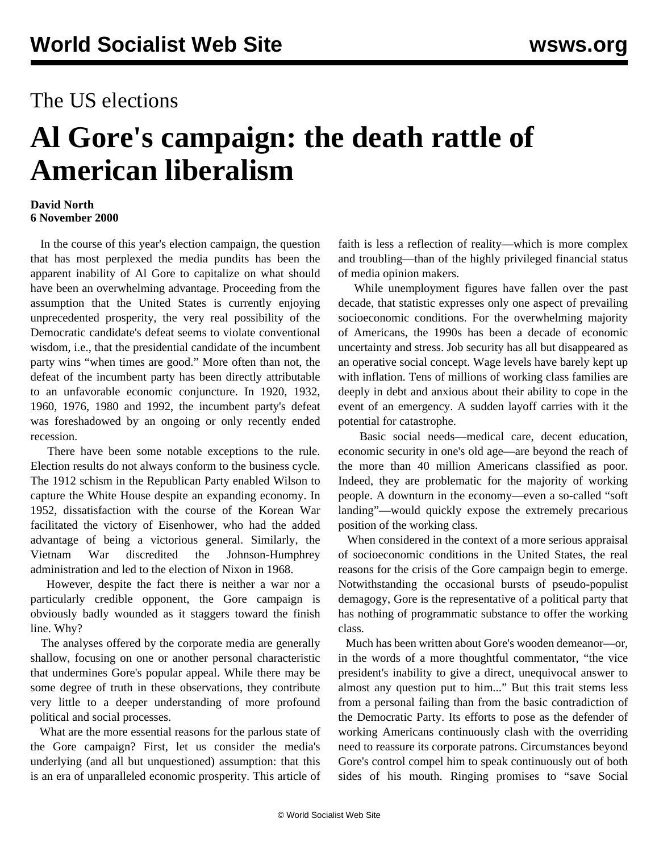## The US elections

## **Al Gore's campaign: the death rattle of American liberalism**

## **David North 6 November 2000**

 In the course of this year's election campaign, the question that has most perplexed the media pundits has been the apparent inability of Al Gore to capitalize on what should have been an overwhelming advantage. Proceeding from the assumption that the United States is currently enjoying unprecedented prosperity, the very real possibility of the Democratic candidate's defeat seems to violate conventional wisdom, i.e., that the presidential candidate of the incumbent party wins "when times are good." More often than not, the defeat of the incumbent party has been directly attributable to an unfavorable economic conjuncture. In 1920, 1932, 1960, 1976, 1980 and 1992, the incumbent party's defeat was foreshadowed by an ongoing or only recently ended recession.

 There have been some notable exceptions to the rule. Election results do not always conform to the business cycle. The 1912 schism in the Republican Party enabled Wilson to capture the White House despite an expanding economy. In 1952, dissatisfaction with the course of the Korean War facilitated the victory of Eisenhower, who had the added advantage of being a victorious general. Similarly, the Vietnam War discredited the Johnson-Humphrey administration and led to the election of Nixon in 1968.

 However, despite the fact there is neither a war nor a particularly credible opponent, the Gore campaign is obviously badly wounded as it staggers toward the finish line. Why?

 The analyses offered by the corporate media are generally shallow, focusing on one or another personal characteristic that undermines Gore's popular appeal. While there may be some degree of truth in these observations, they contribute very little to a deeper understanding of more profound political and social processes.

 What are the more essential reasons for the parlous state of the Gore campaign? First, let us consider the media's underlying (and all but unquestioned) assumption: that this is an era of unparalleled economic prosperity. This article of faith is less a reflection of reality—which is more complex and troubling—than of the highly privileged financial status of media opinion makers.

 While unemployment figures have fallen over the past decade, that statistic expresses only one aspect of prevailing socioeconomic conditions. For the overwhelming majority of Americans, the 1990s has been a decade of economic uncertainty and stress. Job security has all but disappeared as an operative social concept. Wage levels have barely kept up with inflation. Tens of millions of working class families are deeply in debt and anxious about their ability to cope in the event of an emergency. A sudden layoff carries with it the potential for catastrophe.

 Basic social needs—medical care, decent education, economic security in one's old age—are beyond the reach of the more than 40 million Americans classified as poor. Indeed, they are problematic for the majority of working people. A downturn in the economy—even a so-called "soft landing"—would quickly expose the extremely precarious position of the working class.

 When considered in the context of a more serious appraisal of socioeconomic conditions in the United States, the real reasons for the crisis of the Gore campaign begin to emerge. Notwithstanding the occasional bursts of pseudo-populist demagogy, Gore is the representative of a political party that has nothing of programmatic substance to offer the working class.

 Much has been written about Gore's wooden demeanor—or, in the words of a more thoughtful commentator, "the vice president's inability to give a direct, unequivocal answer to almost any question put to him..." But this trait stems less from a personal failing than from the basic contradiction of the Democratic Party. Its efforts to pose as the defender of working Americans continuously clash with the overriding need to reassure its corporate patrons. Circumstances beyond Gore's control compel him to speak continuously out of both sides of his mouth. Ringing promises to "save Social